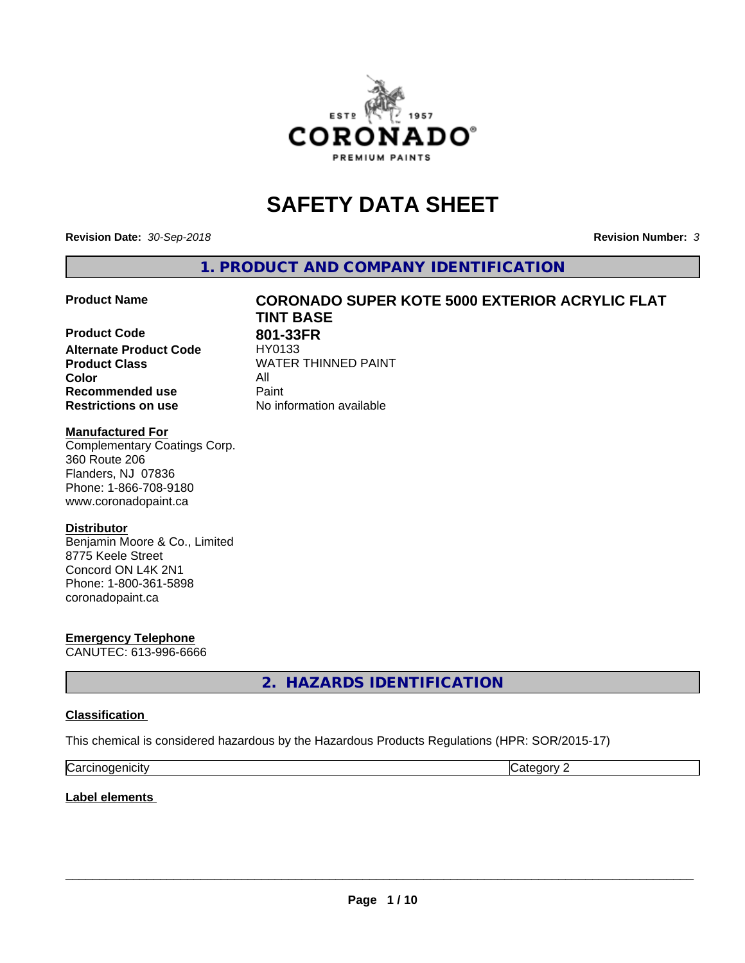

# **SAFETY DATA SHEET**

**Revision Date:** *30-Sep-2018* **Revision Number:** *3*

**1. PRODUCT AND COMPANY IDENTIFICATION**

**Product Code 618 801-33FR**<br>Alternate Product Code 618/90133 **Alternate Product Code Product Class WATER THINNED PAINT Color** All **Recommended use Caint Restrictions on use** No information available

# **Product Name CORONADO SUPER KOTE 5000 EXTERIOR ACRYLIC FLAT TINT BASE**

#### **Manufactured For**

Complementary Coatings Corp. 360 Route 206 Flanders, NJ 07836 Phone: 1-866-708-9180 www.coronadopaint.ca

### **Distributor**

Benjamin Moore & Co., Limited 8775 Keele Street Concord ON L4K 2N1 Phone: 1-800-361-5898 coronadopaint.ca

**Emergency Telephone** CANUTEC: 613-996-6666

**2. HAZARDS IDENTIFICATION**

### **Classification**

This chemical is considered hazardous by the Hazardous Products Regulations (HPR: SOR/2015-17)

| $\sim$   | $\sim$ |
|----------|--------|
| enicity: | .      |
| Ndi      | . .    |

**Label elements**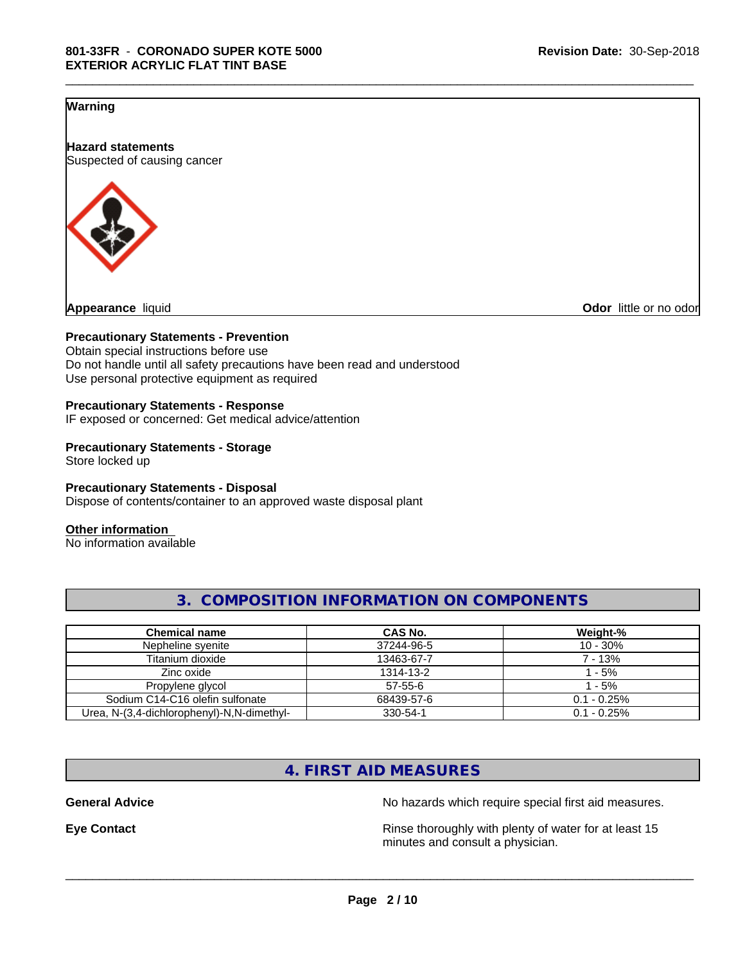### **Warning**

**Hazard statements** Suspected of causing cancer



**Odor** little or no odor

#### **Precautionary Statements - Prevention**

Obtain special instructions before use Do not handle until all safety precautions have been read and understood Use personal protective equipment as required

#### **Precautionary Statements - Response**

IF exposed or concerned: Get medical advice/attention

#### **Precautionary Statements - Storage** Store locked up

**Precautionary Statements - Disposal** Dispose of contents/container to an approved waste disposal plant

#### **Other information**

No information available

| <b>Chemical name</b>                       | CAS No.       | Weight-%       |
|--------------------------------------------|---------------|----------------|
| Nepheline syenite                          | 37244-96-5    | $10 - 30%$     |
| Titanium dioxide                           | 13463-67-7    | 7 - 13%        |
| Zinc oxide                                 | 1314-13-2     | - 5%           |
| Propylene glycol                           | $57 - 55 - 6$ | 1 - 5%         |
| Sodium C14-C16 olefin sulfonate            | 68439-57-6    | $0.1 - 0.25\%$ |
| Urea, N-(3,4-dichlorophenyl)-N,N-dimethyl- | 330-54-1      | $0.1 - 0.25\%$ |

# **3. COMPOSITION INFORMATION ON COMPONENTS**

\_\_\_\_\_\_\_\_\_\_\_\_\_\_\_\_\_\_\_\_\_\_\_\_\_\_\_\_\_\_\_\_\_\_\_\_\_\_\_\_\_\_\_\_\_\_\_\_\_\_\_\_\_\_\_\_\_\_\_\_\_\_\_\_\_\_\_\_\_\_\_\_\_\_\_\_\_\_\_\_\_\_\_\_\_\_\_\_\_\_\_\_\_

# **4. FIRST AID MEASURES**

**General Advice** No hazards which require special first aid measures.

**Eye Contact Exercise 2.1 All 2.5 All 2.5 All 2.6 All 2.6 All 2.6 All 2.6 All 2.6 All 2.6 All 2.6 All 2.6 All 2.6 All 2.6 All 2.6 All 2.6 All 2.6 All 2.6 All 2.6 All 2.6 All 2.6 All 2.6 All 2.6 All 2.6 All 2.6 All 2.6 Al** minutes and consult a physician.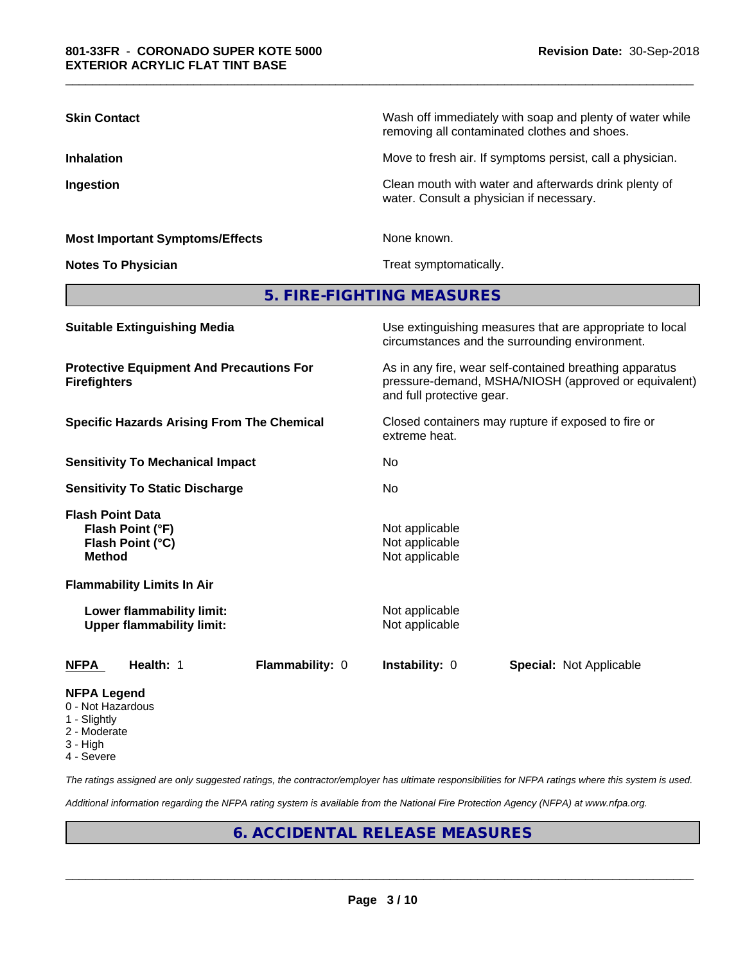| <b>Skin Contact</b>                                                              | Wash off immediately with soap and plenty of water while<br>removing all contaminated clothes and shoes.                                     |  |  |  |
|----------------------------------------------------------------------------------|----------------------------------------------------------------------------------------------------------------------------------------------|--|--|--|
| <b>Inhalation</b>                                                                | Move to fresh air. If symptoms persist, call a physician.                                                                                    |  |  |  |
| Ingestion                                                                        | Clean mouth with water and afterwards drink plenty of<br>water. Consult a physician if necessary.                                            |  |  |  |
| <b>Most Important Symptoms/Effects</b>                                           | None known.                                                                                                                                  |  |  |  |
| <b>Notes To Physician</b>                                                        | Treat symptomatically.                                                                                                                       |  |  |  |
|                                                                                  | 5. FIRE-FIGHTING MEASURES                                                                                                                    |  |  |  |
| <b>Suitable Extinguishing Media</b>                                              | Use extinguishing measures that are appropriate to local<br>circumstances and the surrounding environment.                                   |  |  |  |
| <b>Protective Equipment And Precautions For</b><br><b>Firefighters</b>           | As in any fire, wear self-contained breathing apparatus<br>pressure-demand, MSHA/NIOSH (approved or equivalent)<br>and full protective gear. |  |  |  |
| <b>Specific Hazards Arising From The Chemical</b>                                | Closed containers may rupture if exposed to fire or<br>extreme heat.                                                                         |  |  |  |
| <b>Sensitivity To Mechanical Impact</b>                                          | No.                                                                                                                                          |  |  |  |
| <b>Sensitivity To Static Discharge</b>                                           | No                                                                                                                                           |  |  |  |
| <b>Flash Point Data</b><br>Flash Point (°F)<br>Flash Point (°C)<br><b>Method</b> | Not applicable<br>Not applicable<br>Not applicable                                                                                           |  |  |  |
| <b>Flammability Limits In Air</b>                                                |                                                                                                                                              |  |  |  |
| Lower flammability limit:<br><b>Upper flammability limit:</b>                    | Not applicable<br>Not applicable                                                                                                             |  |  |  |
| Health: 1<br>Flammability: 0<br><b>NFPA</b>                                      | Instability: 0<br><b>Special: Not Applicable</b>                                                                                             |  |  |  |
| NFPA Leaend                                                                      |                                                                                                                                              |  |  |  |

\_\_\_\_\_\_\_\_\_\_\_\_\_\_\_\_\_\_\_\_\_\_\_\_\_\_\_\_\_\_\_\_\_\_\_\_\_\_\_\_\_\_\_\_\_\_\_\_\_\_\_\_\_\_\_\_\_\_\_\_\_\_\_\_\_\_\_\_\_\_\_\_\_\_\_\_\_\_\_\_\_\_\_\_\_\_\_\_\_\_\_\_\_

- 0 Not Hazardous
- 1 Slightly
- 2 Moderate
- 3 High
- 4 Severe

*The ratings assigned are only suggested ratings, the contractor/employer has ultimate responsibilities for NFPA ratings where this system is used.*

*Additional information regarding the NFPA rating system is available from the National Fire Protection Agency (NFPA) at www.nfpa.org.*

# **6. ACCIDENTAL RELEASE MEASURES**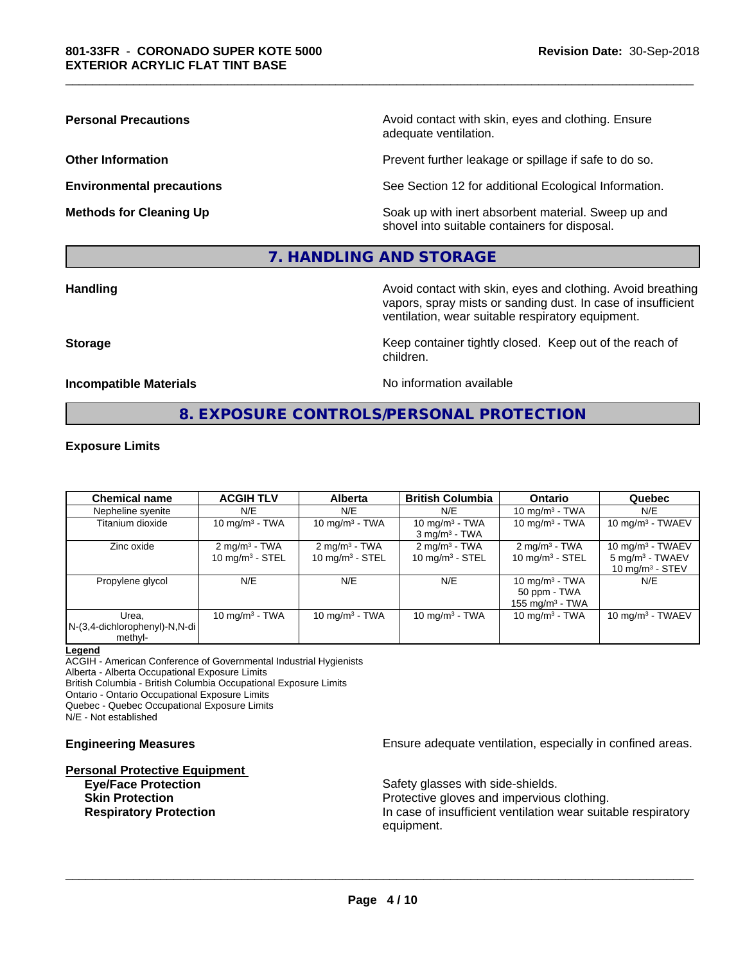**Personal Precautions Precautions** Avoid contact with skin, eyes and clothing. Ensure adequate ventilation.

**Other Information Other Information Prevent further leakage or spillage if safe to do so.** 

**Environmental precautions** See Section 12 for additional Ecological Information.

**Methods for Cleaning Up Example 20 All 20 All 20 All 20 Soak** up with inert absorbent material. Sweep up and shovel into suitable containers for disposal.

# **7. HANDLING AND STORAGE**

**Handling Handling Avoid contact with skin, eyes and clothing. Avoid breathing** vapors, spray mists or sanding dust. In case of insufficient ventilation, wear suitable respiratory equipment.

**Storage Keep container tightly closed. Keep out of the reach of Keep** container tightly closed. Keep out of the reach of

**Incompatible Materials No information available No** information available

\_\_\_\_\_\_\_\_\_\_\_\_\_\_\_\_\_\_\_\_\_\_\_\_\_\_\_\_\_\_\_\_\_\_\_\_\_\_\_\_\_\_\_\_\_\_\_\_\_\_\_\_\_\_\_\_\_\_\_\_\_\_\_\_\_\_\_\_\_\_\_\_\_\_\_\_\_\_\_\_\_\_\_\_\_\_\_\_\_\_\_\_\_

# **8. EXPOSURE CONTROLS/PERSONAL PROTECTION**

children.

#### **Exposure Limits**

| <b>Chemical name</b>                                 | <b>ACGIH TLV</b>                                          | Alberta                                                   | <b>British Columbia</b>                                   | <b>Ontario</b>                                          | Quebec                                                                   |
|------------------------------------------------------|-----------------------------------------------------------|-----------------------------------------------------------|-----------------------------------------------------------|---------------------------------------------------------|--------------------------------------------------------------------------|
| Nepheline syenite                                    | N/E                                                       | N/E                                                       | N/E                                                       | 10 mg/m $3$ - TWA                                       | N/E                                                                      |
| Titanium dioxide                                     | 10 mg/m $3$ - TWA                                         | 10 mg/m $3$ - TWA                                         | 10 mg/m $3$ - TWA<br>$3$ mg/m <sup>3</sup> - TWA          | 10 mg/m $3$ - TWA                                       | 10 mg/m $3$ - TWAEV                                                      |
| Zinc oxide                                           | $2 \text{ mg/m}^3$ - TWA<br>$10$ mg/m <sup>3</sup> - STEL | $2 \text{ mg/m}^3$ - TWA<br>$10$ mg/m <sup>3</sup> - STEL | $2 \text{ mg/m}^3$ - TWA<br>$10$ mg/m <sup>3</sup> - STEL | $2 \text{ mg/m}^3$ - TWA<br>10 mg/m $3 -$ STEL          | 10 mg/m $3$ - TWAEV<br>5 mg/m <sup>3</sup> - TWAEV<br>10 mg/m $3 -$ STEV |
| Propylene glycol                                     | N/E                                                       | N/E                                                       | N/E                                                       | 10 mg/m $3$ - TWA<br>50 ppm - TWA<br>155 mg/m $3$ - TWA | N/E                                                                      |
| Urea.<br>$N-(3,4$ -dichlorophenyl)-N,N-di<br>methyl- | $10 \text{ mg/m}^3$ - TWA                                 | 10 $mq/m3$ - TWA                                          | 10 mg/m $3 - TWA$                                         | 10 mg/m $3$ - TWA                                       | $10$ mg/m <sup>3</sup> - TWAEV                                           |

#### **Legend**

ACGIH - American Conference of Governmental Industrial Hygienists

Alberta - Alberta Occupational Exposure Limits

British Columbia - British Columbia Occupational Exposure Limits

Ontario - Ontario Occupational Exposure Limits Quebec - Quebec Occupational Exposure Limits

N/E - Not established

# **Personal Protective Equipment**

**Engineering Measures Ensure** Ensure adequate ventilation, especially in confined areas.

**Eye/Face Protection Safety glasses with side-shields. Skin Protection Protection Protective gloves and impervious clothing. Respiratory Protection In case of insufficient ventilation wear suitable respiratory** equipment.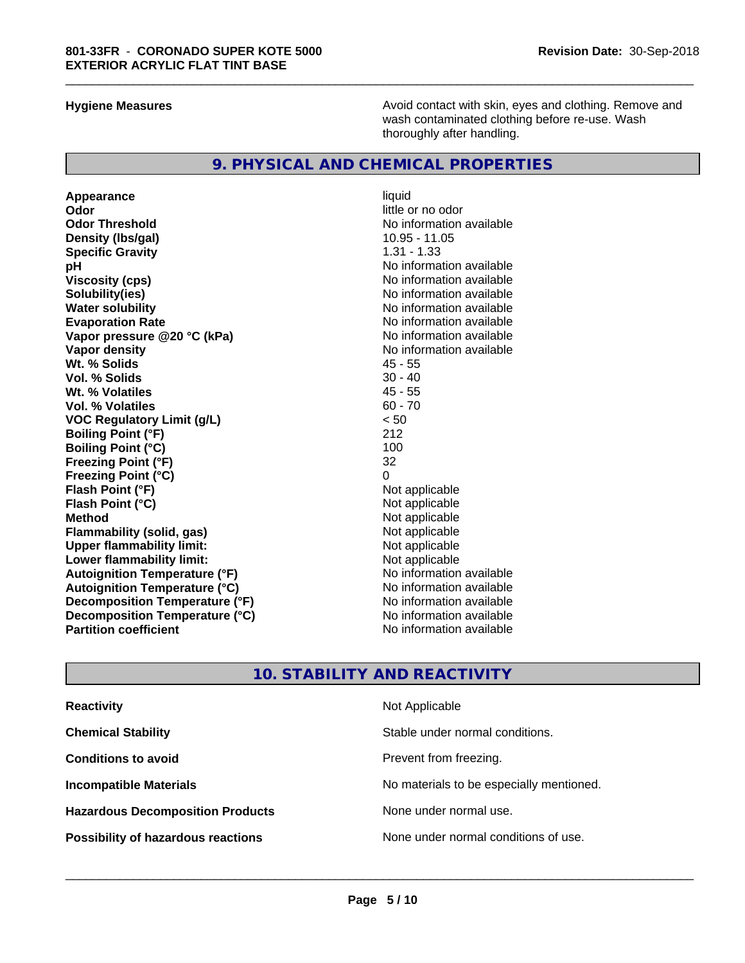**Hygiene Measures Avoid contact with skin, eyes and clothing. Remove and Avoid contact with skin, eyes and clothing. Remove and Avoid contact with skin, eyes and clothing. Remove and** wash contaminated clothing before re-use. Wash thoroughly after handling.

#### **9. PHYSICAL AND CHEMICAL PROPERTIES**

**Appearance** liquid **Odor** little or no odor **Odor Threshold No information available No information available Density (lbs/gal)** 10.95 - 11.05<br> **Specific Gravity** 1.31 - 1.33 **Specific Gravity pH** No information available **Viscosity (cps)** No information available **Solubility(ies)** No information available **Water solubility**<br> **Evaporation Rate**<br> **Evaporation Rate**<br> **Evaporation Rate Vapor** pressure @20 °C (kPa) **Vapor density**<br> **We Solids**<br>
We Solids
2018 **Wt. % Solids** 45 - 55 **Vol. % Solids Wt. % Volatiles** 45 - 55 **Vol. % Volatiles VOC Regulatory Limit (g/L)** < 50 **Boiling Point (°F)** 212 **Boiling Point (°C)** 100<br>**Freezing Point (°F)** 32 **Freezing Point (°F) Freezing Point (°C)** 0 **Flash Point (°F) Flash Point (°C)** Not applicable **Method** Not applicable **Flammability** (solid, gas) **Upper flammability limit:** Not applicable **Lower flammability limit:**<br> **Autoignition Temperature (°F)** Not applicable havailable available **Autoignition Temperature (°F) Autoignition Temperature (°C)** No information available **Decomposition Temperature (°F)** No information available<br> **Decomposition Temperature (°C)** No information available **Decomposition Temperature (°C) Partition coefficient** No information available

No information available<br>No information available

\_\_\_\_\_\_\_\_\_\_\_\_\_\_\_\_\_\_\_\_\_\_\_\_\_\_\_\_\_\_\_\_\_\_\_\_\_\_\_\_\_\_\_\_\_\_\_\_\_\_\_\_\_\_\_\_\_\_\_\_\_\_\_\_\_\_\_\_\_\_\_\_\_\_\_\_\_\_\_\_\_\_\_\_\_\_\_\_\_\_\_\_\_

# **10. STABILITY AND REACTIVITY**

| <b>Reactivity</b>                         | Not Applicable                           |
|-------------------------------------------|------------------------------------------|
| <b>Chemical Stability</b>                 | Stable under normal conditions.          |
| <b>Conditions to avoid</b>                | Prevent from freezing.                   |
| <b>Incompatible Materials</b>             | No materials to be especially mentioned. |
| <b>Hazardous Decomposition Products</b>   | None under normal use.                   |
| <b>Possibility of hazardous reactions</b> | None under normal conditions of use.     |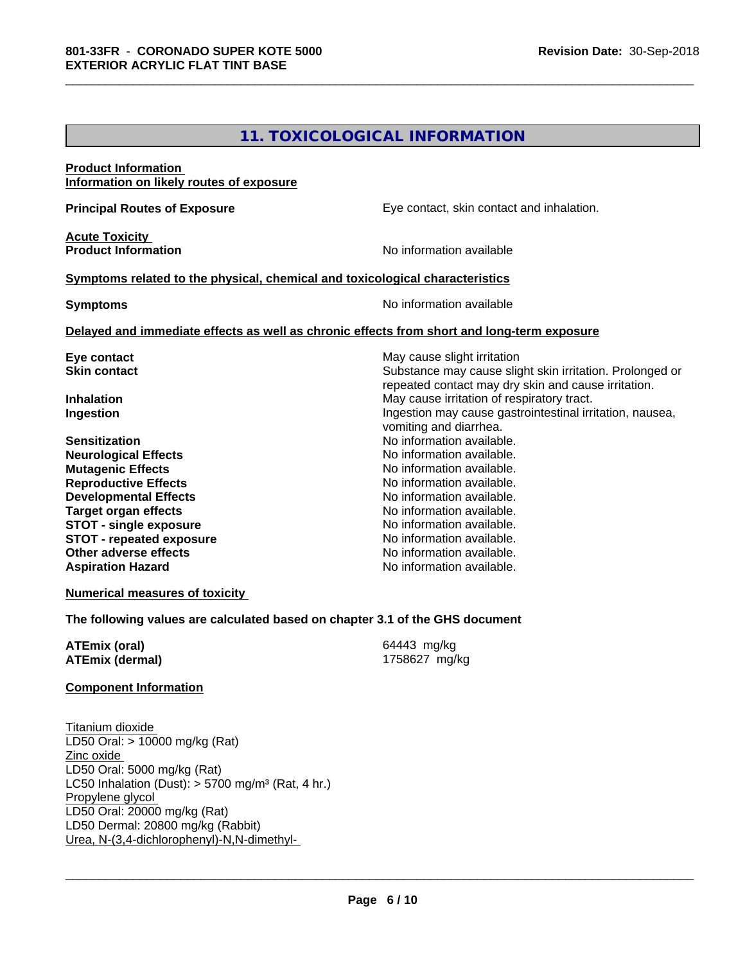# **11. TOXICOLOGICAL INFORMATION**

\_\_\_\_\_\_\_\_\_\_\_\_\_\_\_\_\_\_\_\_\_\_\_\_\_\_\_\_\_\_\_\_\_\_\_\_\_\_\_\_\_\_\_\_\_\_\_\_\_\_\_\_\_\_\_\_\_\_\_\_\_\_\_\_\_\_\_\_\_\_\_\_\_\_\_\_\_\_\_\_\_\_\_\_\_\_\_\_\_\_\_\_\_

| <b>Product Information</b>                                                   |                                                                                            |
|------------------------------------------------------------------------------|--------------------------------------------------------------------------------------------|
| Information on likely routes of exposure                                     |                                                                                            |
| <b>Principal Routes of Exposure</b>                                          | Eye contact, skin contact and inhalation.                                                  |
| <b>Acute Toxicity</b>                                                        |                                                                                            |
| <b>Product Information</b>                                                   | No information available                                                                   |
| Symptoms related to the physical, chemical and toxicological characteristics |                                                                                            |
| <b>Symptoms</b>                                                              | No information available                                                                   |
|                                                                              | Delayed and immediate effects as well as chronic effects from short and long-term exposure |
| Eye contact                                                                  | May cause slight irritation                                                                |
| <b>Skin contact</b>                                                          | Substance may cause slight skin irritation. Prolonged or                                   |
|                                                                              | repeated contact may dry skin and cause irritation.                                        |
| <b>Inhalation</b>                                                            | May cause irritation of respiratory tract.                                                 |
| Ingestion                                                                    | Ingestion may cause gastrointestinal irritation, nausea,<br>vomiting and diarrhea.         |
| <b>Sensitization</b>                                                         | No information available.                                                                  |
|                                                                              | No information available.                                                                  |
| <b>Neurological Effects</b><br><b>Mutagenic Effects</b>                      | No information available.                                                                  |
| <b>Reproductive Effects</b>                                                  | No information available.                                                                  |
| <b>Developmental Effects</b>                                                 | No information available.                                                                  |
| <b>Target organ effects</b>                                                  | No information available.                                                                  |
| <b>STOT - single exposure</b>                                                | No information available.                                                                  |
| <b>STOT - repeated exposure</b>                                              | No information available.                                                                  |
| <b>Other adverse effects</b>                                                 | No information available.                                                                  |
| <b>Aspiration Hazard</b>                                                     | No information available.                                                                  |
| <b>Numerical measures of toxicity</b>                                        |                                                                                            |

**The following values are calculated based on chapter 3.1 of the GHS document**

| ATEmix (oral)          | 64443 mg/kg   |
|------------------------|---------------|
| <b>ATEmix (dermal)</b> | 1758627 mg/kg |

#### **Component Information**

Titanium dioxide LD50 Oral: > 10000 mg/kg (Rat) Zinc oxide LD50 Oral: 5000 mg/kg (Rat) LC50 Inhalation (Dust): > 5700 mg/m³ (Rat, 4 hr.) Propylene glycol LD50 Oral: 20000 mg/kg (Rat) LD50 Dermal: 20800 mg/kg (Rabbit) Urea, N-(3,4-dichlorophenyl)-N,N-dimethyl-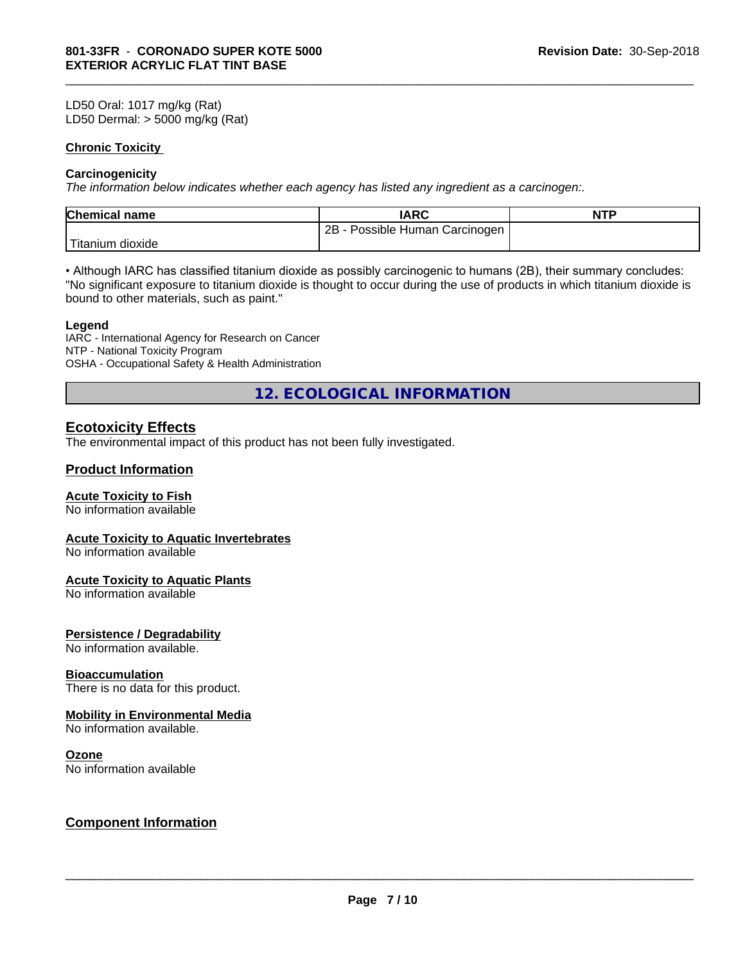LD50 Oral: 1017 mg/kg (Rat) LD50 Dermal: > 5000 mg/kg (Rat)

#### **Chronic Toxicity**

#### **Carcinogenicity**

*The information below indicateswhether each agency has listed any ingredient as a carcinogen:.*

| <b>Chemical name</b> | <b>IARC</b>                                         | <b>NTP</b> |
|----------------------|-----------------------------------------------------|------------|
|                      | $2B -$<br>Human Carcinogen<br>Possible <sup>P</sup> |            |
| Titanium<br>dioxide  |                                                     |            |

\_\_\_\_\_\_\_\_\_\_\_\_\_\_\_\_\_\_\_\_\_\_\_\_\_\_\_\_\_\_\_\_\_\_\_\_\_\_\_\_\_\_\_\_\_\_\_\_\_\_\_\_\_\_\_\_\_\_\_\_\_\_\_\_\_\_\_\_\_\_\_\_\_\_\_\_\_\_\_\_\_\_\_\_\_\_\_\_\_\_\_\_\_

• Although IARC has classified titanium dioxide as possibly carcinogenic to humans (2B), their summary concludes: "No significant exposure to titanium dioxide is thought to occur during the use of products in which titanium dioxide is bound to other materials, such as paint."

#### **Legend**

IARC - International Agency for Research on Cancer NTP - National Toxicity Program OSHA - Occupational Safety & Health Administration

**12. ECOLOGICAL INFORMATION**

# **Ecotoxicity Effects**

The environmental impact of this product has not been fully investigated.

### **Product Information**

#### **Acute Toxicity to Fish**

No information available

#### **Acute Toxicity to Aquatic Invertebrates**

No information available

#### **Acute Toxicity to Aquatic Plants**

No information available

#### **Persistence / Degradability**

No information available.

#### **Bioaccumulation**

There is no data for this product.

### **Mobility in Environmental Media**

No information available.

#### **Ozone**

No information available

### **Component Information**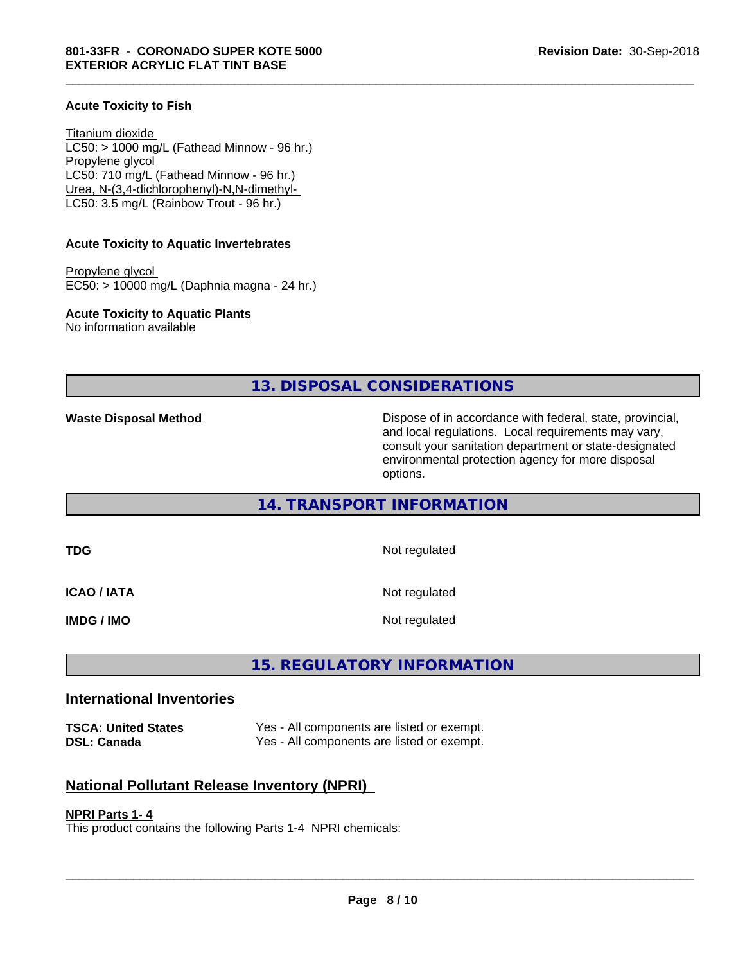#### **Acute Toxicity to Fish**

Titanium dioxide  $LC50:$  > 1000 mg/L (Fathead Minnow - 96 hr.) Propylene glycol LC50: 710 mg/L (Fathead Minnow - 96 hr.) Urea, N-(3,4-dichlorophenyl)-N,N-dimethyl- LC50: 3.5 mg/L (Rainbow Trout - 96 hr.)

#### **Acute Toxicity to Aquatic Invertebrates**

Propylene glycol EC50: > 10000 mg/L (Daphnia magna - 24 hr.)

**Acute Toxicity to Aquatic Plants**

No information available

**13. DISPOSAL CONSIDERATIONS**

\_\_\_\_\_\_\_\_\_\_\_\_\_\_\_\_\_\_\_\_\_\_\_\_\_\_\_\_\_\_\_\_\_\_\_\_\_\_\_\_\_\_\_\_\_\_\_\_\_\_\_\_\_\_\_\_\_\_\_\_\_\_\_\_\_\_\_\_\_\_\_\_\_\_\_\_\_\_\_\_\_\_\_\_\_\_\_\_\_\_\_\_\_

**Waste Disposal Method Dispose of in accordance with federal, state, provincial,** and local regulations. Local requirements may vary, consult your sanitation department or state-designated environmental protection agency for more disposal options.

### **14. TRANSPORT INFORMATION**

**TDG** Not regulated **ICAO / IATA** Not regulated **IMDG / IMO** Not regulated

# **15. REGULATORY INFORMATION**

### **International Inventories**

**TSCA: United States** Yes - All components are listed or exempt. **DSL: Canada** Yes - All components are listed or exempt.

### **National Pollutant Release Inventory (NPRI)**

#### **NPRI Parts 1- 4**

This product contains the following Parts 1-4 NPRI chemicals: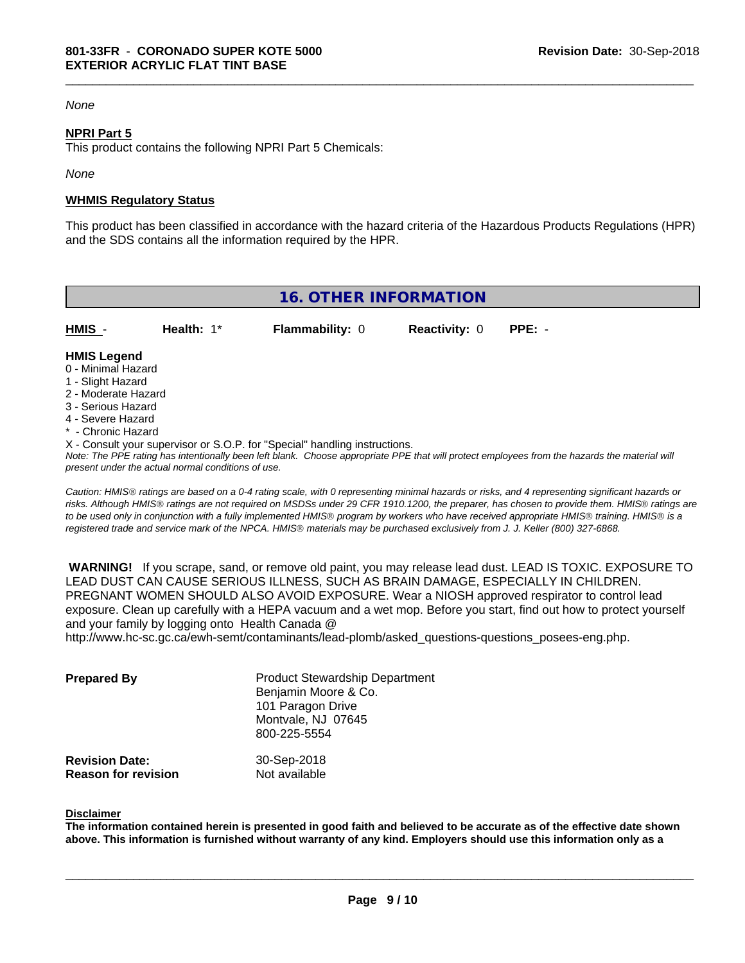#### *None*

#### **NPRI Part 5**

This product contains the following NPRI Part 5 Chemicals:

*None*

#### **WHMIS Regulatory Status**

This product has been classified in accordance with the hazard criteria of the Hazardous Products Regulations (HPR) and the SDS contains all the information required by the HPR.

\_\_\_\_\_\_\_\_\_\_\_\_\_\_\_\_\_\_\_\_\_\_\_\_\_\_\_\_\_\_\_\_\_\_\_\_\_\_\_\_\_\_\_\_\_\_\_\_\_\_\_\_\_\_\_\_\_\_\_\_\_\_\_\_\_\_\_\_\_\_\_\_\_\_\_\_\_\_\_\_\_\_\_\_\_\_\_\_\_\_\_\_\_

| <b>16. OTHER INFORMATION</b>                                                                                                                                                                                |            |                                                                            |                      |                                                                                                                                               |
|-------------------------------------------------------------------------------------------------------------------------------------------------------------------------------------------------------------|------------|----------------------------------------------------------------------------|----------------------|-----------------------------------------------------------------------------------------------------------------------------------------------|
| HMIS -                                                                                                                                                                                                      | Health: 1* | <b>Flammability: 0</b>                                                     | <b>Reactivity: 0</b> | $PPE: -$                                                                                                                                      |
| <b>HMIS Legend</b><br>0 - Minimal Hazard<br>1 - Slight Hazard<br>2 - Moderate Hazard<br>3 - Serious Hazard<br>4 - Severe Hazard<br>* - Chronic Hazard<br>present under the actual normal conditions of use. |            | X - Consult your supervisor or S.O.P. for "Special" handling instructions. |                      | Note: The PPE rating has intentionally been left blank. Choose appropriate PPE that will protect employees from the hazards the material will |

*Caution: HMISÒ ratings are based on a 0-4 rating scale, with 0 representing minimal hazards or risks, and 4 representing significant hazards or risks. Although HMISÒ ratings are not required on MSDSs under 29 CFR 1910.1200, the preparer, has chosen to provide them. HMISÒ ratings are to be used only in conjunction with a fully implemented HMISÒ program by workers who have received appropriate HMISÒ training. HMISÒ is a registered trade and service mark of the NPCA. HMISÒ materials may be purchased exclusively from J. J. Keller (800) 327-6868.*

 **WARNING!** If you scrape, sand, or remove old paint, you may release lead dust. LEAD IS TOXIC. EXPOSURE TO LEAD DUST CAN CAUSE SERIOUS ILLNESS, SUCH AS BRAIN DAMAGE, ESPECIALLY IN CHILDREN. PREGNANT WOMEN SHOULD ALSO AVOID EXPOSURE.Wear a NIOSH approved respirator to control lead exposure. Clean up carefully with a HEPA vacuum and a wet mop. Before you start, find out how to protect yourself and your family by logging onto Health Canada @ http://www.hc-sc.gc.ca/ewh-semt/contaminants/lead-plomb/asked\_questions-questions\_posees-eng.php.

| <b>Prepared By</b>                                  | <b>Product Stewardship Department</b><br>Benjamin Moore & Co.<br>101 Paragon Drive<br>Montvale, NJ 07645<br>800-225-5554 |  |
|-----------------------------------------------------|--------------------------------------------------------------------------------------------------------------------------|--|
| <b>Revision Date:</b><br><b>Reason for revision</b> | 30-Sep-2018<br>Not available                                                                                             |  |

#### **Disclaimer**

The information contained herein is presented in good faith and believed to be accurate as of the effective date shown above. This information is furnished without warranty of any kind. Employers should use this information only as a